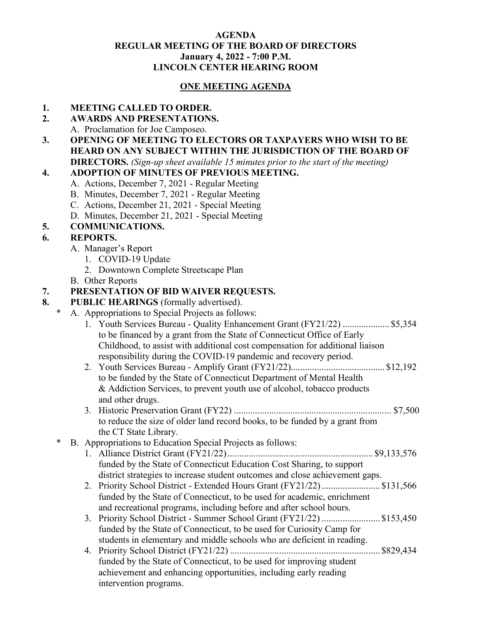#### **AGENDA REGULAR MEETING OF THE BOARD OF DIRECTORS January 4, 2022 - 7:00 P.M. LINCOLN CENTER HEARING ROOM**

## **ONE MEETING AGENDA**

### **1. MEETING CALLED TO ORDER.**

#### **2. AWARDS AND PRESENTATIONS.**

- A. Proclamation for Joe Camposeo.
- **3. OPENING OF MEETING TO ELECTORS OR TAXPAYERS WHO WISH TO BE HEARD ON ANY SUBJECT WITHIN THE JURISDICTION OF THE BOARD OF DIRECTORS.** *(Sign-up sheet available 15 minutes prior to the start of the meeting)*

## **4. ADOPTION OF MINUTES OF PREVIOUS MEETING.**

- A. Actions, December 7, 2021 Regular Meeting
- B. Minutes, December 7, 2021 Regular Meeting
- C. Actions, December 21, 2021 Special Meeting
- D. Minutes, December 21, 2021 Special Meeting

## **5. COMMUNICATIONS.**

## **6. REPORTS.**

- A. Manager's Report
	- 1. COVID-19 Update
	- 2. Downtown Complete Streetscape Plan
- B. Other Reports

## **7. PRESENTATION OF BID WAIVER REQUESTS.**

#### **8. PUBLIC HEARINGS** (formally advertised).

- A. Appropriations to Special Projects as follows:
	- 1. Youth Services Bureau Quality Enhancement Grant (FY21/22) .................... \$5,354 to be financed by a grant from the State of Connecticut Office of Early Childhood, to assist with additional cost compensation for additional liaison responsibility during the COVID-19 pandemic and recovery period.
	- 2. Youth Services Bureau Amplify Grant (FY21/22)........................................ \$12,192 to be funded by the State of Connecticut Department of Mental Health & Addiction Services, to prevent youth use of alcohol, tobacco products and other drugs.
	- 3. Historic Preservation Grant (FY22) ................................................................... \$7,500 to reduce the size of older land record books, to be funded by a grant from the CT State Library.

## \* B. Appropriations to Education Special Projects as follows:

- 1. Alliance District Grant (FY21/22).............................................................. \$9,133,576 funded by the State of Connecticut Education Cost Sharing, to support district strategies to increase student outcomes and close achievement gaps.
- 2. Priority School District Extended Hours Grant (FY21/22)......................... \$131,566 funded by the State of Connecticut, to be used for academic, enrichment and recreational programs, including before and after school hours.
- 3. Priority School District Summer School Grant (FY21/22) ......................... \$153,450 funded by the State of Connecticut, to be used for Curiosity Camp for students in elementary and middle schools who are deficient in reading.
- 4. Priority School District (FY21/22) ................................................................ \$829,434 funded by the State of Connecticut, to be used for improving student achievement and enhancing opportunities, including early reading intervention programs.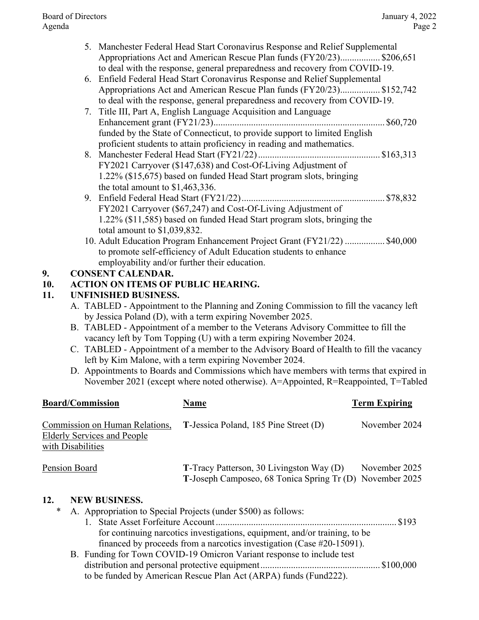Board of Directors January 4, 2022 Agenda Page 2

- 5. Manchester Federal Head Start Coronavirus Response and Relief Supplemental Appropriations Act and American Rescue Plan funds (FY20/23)................. \$206,651 to deal with the response, general preparedness and recovery from COVID-19.
- 6. Enfield Federal Head Start Coronavirus Response and Relief Supplemental Appropriations Act and American Rescue Plan funds (FY20/23)................. \$152,742 to deal with the response, general preparedness and recovery from COVID-19.
- 7. Title III, Part A, English Language Acquisition and Language Enhancement grant (FY21/23)......................................................................... \$60,720 funded by the State of Connecticut, to provide support to limited English proficient students to attain proficiency in reading and mathematics.
- 8. Manchester Federal Head Start (FY21/22).................................................... \$163,313 FY2021 Carryover (\$147,638) and Cost-Of-Living Adjustment of 1.22% (\$15,675) based on funded Head Start program slots, bringing the total amount to \$1,463,336.
- 9. Enfield Federal Head Start (FY21/22)............................................................. \$78,832 FY2021 Carryover (\$67,247) and Cost-Of-Living Adjustment of 1.22% (\$11,585) based on funded Head Start program slots, bringing the total amount to \$1,039,832.
- 10. Adult Education Program Enhancement Project Grant (FY21/22) ................. \$40,000 to promote self-efficiency of Adult Education students to enhance employability and/or further their education.

# **9. CONSENT CALENDAR.**

# **10. ACTION ON ITEMS OF PUBLIC HEARING.**

# **11. UNFINISHED BUSINESS.**

- A. TABLED Appointment to the Planning and Zoning Commission to fill the vacancy left by Jessica Poland (D), with a term expiring November 2025.
- B. TABLED Appointment of a member to the Veterans Advisory Committee to fill the vacancy left by Tom Topping (U) with a term expiring November 2024.
- C. TABLED Appointment of a member to the Advisory Board of Health to fill the vacancy left by Kim Malone, with a term expiring November 2024.
- D. Appointments to Boards and Commissions which have members with terms that expired in November 2021 (except where noted otherwise). A=Appointed, R=Reappointed, T=Tabled

| <b>Board/Commission</b>                                                                   | Name                                                                                                 | <b>Term Expiring</b> |
|-------------------------------------------------------------------------------------------|------------------------------------------------------------------------------------------------------|----------------------|
| Commission on Human Relations,<br><b>Elderly Services and People</b><br>with Disabilities | T-Jessica Poland, 185 Pine Street (D)                                                                | November 2024        |
| Pension Board                                                                             | T-Tracy Patterson, 30 Livingston Way (D)<br>T-Joseph Camposeo, 68 Tonica Spring Tr (D) November 2025 | November 2025        |
| 12.<br><b>NEW BUSINESS.</b><br>∗                                                          | A. Appropriation to Special Projects (under \$500) as follows:                                       |                      |

- 1. State Asset Forfeiture Account ............................................................................. \$193 for continuing narcotics investigations, equipment, and/or training, to be financed by proceeds from a narcotics investigation (Case #20-15091).
- B. Funding for Town COVID-19 Omicron Variant response to include test distribution and personal protective equipment................................................... \$100,000 to be funded by American Rescue Plan Act (ARPA) funds (Fund222).